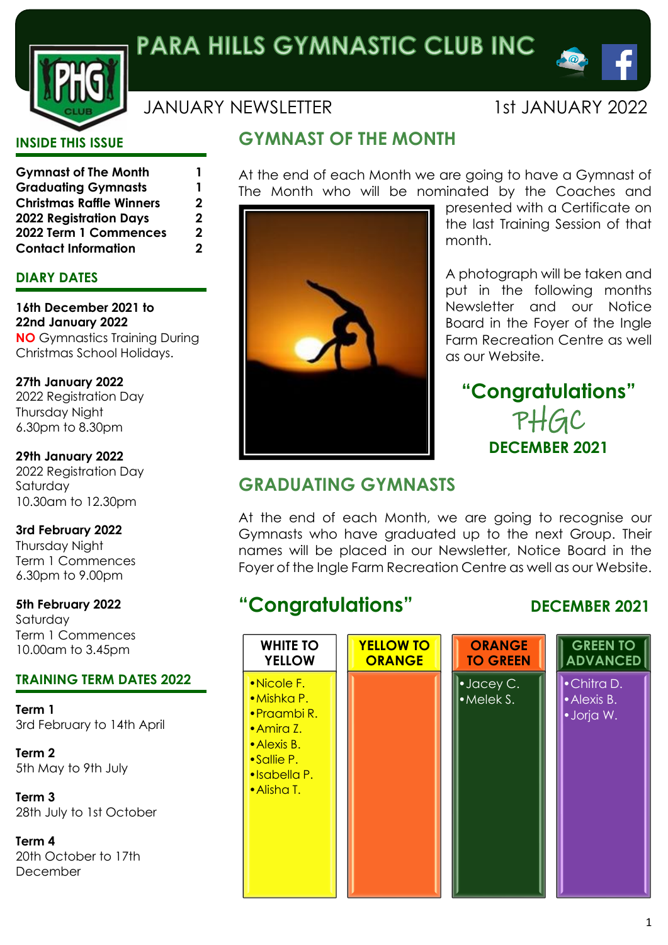

## JANUARY NEWSLETTER 1st JANUARY 2022

 $\triangle$   $\omega$ 

#### **INSIDE THIS ISSUE**

| <b>Gymnast of The Month</b>     | 1 |
|---------------------------------|---|
| <b>Graduating Gymnasts</b>      | 1 |
| <b>Christmas Raffle Winners</b> | 2 |
| <b>2022 Registration Days</b>   | 2 |
| 2022 Term 1 Commences           | 2 |
| <b>Contact Information</b>      | 2 |

### **DIARY DATES**

**16th December 2021 to 22nd January 2022 NO** Gymnastics Training During Christmas School Holidays.

**27th January 2022** 2022 Registration Day Thursday Night 6.30pm to 8.30pm

**29th January 2022** 2022 Registration Day Saturday 10.30am to 12.30pm

**3rd February 2022** Thursday Night Term 1 Commences 6.30pm to 9.00pm

**5th February 2022** Saturday Term 1 Commences 10.00am to 3.45pm

#### **TRAINING TERM DATES 2022**

**Term 1** 3rd February to 14th April

**Term 2** 5th May to 9th July

**Term 3** 28th July to 1st October

**Term 4** 20th October to 17th December

## **GYMNAST OF THE MONTH**

At the end of each Month we are going to have a Gymnast of The Month who will be nominated by the Coaches and



presented with a Certificate on the last Training Session of that month.

A photograph will be taken and put in the following months Newsletter and our Notice Board in the Foyer of the Ingle Farm Recreation Centre as well as our Website.

# **"Congratulations"** PHGC **DECEMBER 2021**

## **GRADUATING GYMNASTS**

At the end of each Month, we are going to recognise our Gymnasts who have graduated up to the next Group. Their names will be placed in our Newsletter, Notice Board in the Foyer of the Ingle Farm Recreation Centre as well as our Website.

# **"Congratulations" DECEMBER 2021**